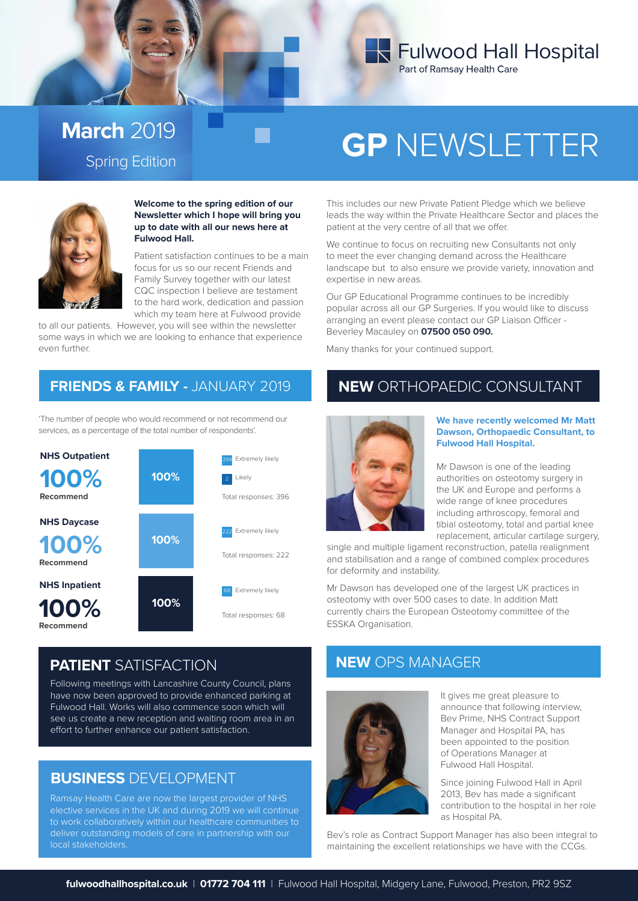

## **March** 2019

# Spring Edition **GP** NEWSLETTER



**Welcome to the spring edition of our Newsletter which I hope will bring you up to date with all our news here at Fulwood Hall.** 

Patient satisfaction continues to be a main focus for us so our recent Friends and Family Survey together with our latest CQC inspection I believe are testament to the hard work, dedication and passion which my team here at Fulwood provide

to all our patients. However, you will see within the newsletter some ways in which we are looking to enhance that experience even further.

'The number of people who would recommend or not recommend our services, as a percentage of the total number of respondents'.



This includes our new Private Patient Pledge which we believe leads the way within the Private Healthcare Sector and places the patient at the very centre of all that we offer.

We continue to focus on recruiting new Consultants not only to meet the ever changing demand across the Healthcare landscape but to also ensure we provide variety, innovation and expertise in new areas.

Our GP Educational Programme continues to be incredibly popular across all our GP Surgeries. If you would like to discuss arranging an event please contact our GP Liaison Officer - Beverley Macauley on **07500 050 090.**

Many thanks for your continued support.

## **FRIENDS & FAMILY -** JANUARY 2019 NEW ORTHOPAEDIC CONSULTANT



#### **We have recently welcomed Mr Matt Dawson, Orthopaedic Consultant, to Fulwood Hall Hospital.**

Mr Dawson is one of the leading authorities on osteotomy surgery in the UK and Europe and performs a wide range of knee procedures including arthroscopy, femoral and tibial osteotomy, total and partial knee replacement, articular cartilage surgery,

single and multiple ligament reconstruction, patella realignment and stabilisation and a range of combined complex procedures for deformity and instability.

Mr Dawson has developed one of the largest UK practices in osteotomy with over 500 cases to date. In addition Matt currently chairs the European Osteotomy committee of the ESSKA Organisation.

## **PATIENT** SATISFACTION

Following meetings with Lancashire County Council, plans have now been approved to provide enhanced parking at Fulwood Hall. Works will also commence soon which will see us create a new reception and waiting room area in an effort to further enhance our patient satisfaction.

## **BUSINESS** DEVELOPMENT

Ramsay Health Care are now the largest provider of NHS elective services in the UK and during 2019 we will continue to work collaboratively within our healthcare communities to deliver outstanding models of care in partnership with our local stakeholders.

## **NEW** OPS MANAGER



It gives me great pleasure to announce that following interview, Bev Prime, NHS Contract Support Manager and Hospital PA, has been appointed to the position of Operations Manager at Fulwood Hall Hospital.

Since joining Fulwood Hall in April 2013, Bev has made a significant contribution to the hospital in her role as Hospital PA.

Bev's role as Contract Support Manager has also been integral to maintaining the excellent relationships we have with the CCGs.